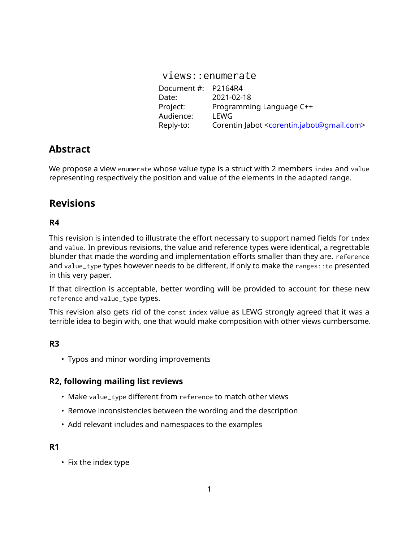| views::enumerate    |                                                                      |
|---------------------|----------------------------------------------------------------------|
| Document #: P2164R4 |                                                                      |
| Date:               | 2021-02-18                                                           |
| Project:            | Programming Language C++                                             |
| Audience:           | LEWG                                                                 |
| Reply-to:           | Corentin Jabot <corentin.jabot@gmail.com></corentin.jabot@gmail.com> |

# **Abstract**

We propose a view enumerate whose value type is a struct with 2 members index and value representing respectively the position and value of the elements in the adapted range.

# **Revisions**

# **R4**

This revision is intended to illustrate the effort necessary to support named fields for index and value. In previous revisions, the value and reference types were identical, a regrettable blunder that made the wording and implementation efforts smaller than they are. reference and value\_type types however needs to be different, if only to make the ranges:: to presented in this very paper.

If that direction is acceptable, better wording will be provided to account for these new reference and value\_type types.

This revision also gets rid of the const index value as LEWG strongly agreed that it was a terrible idea to begin with, one that would make composition with other views cumbersome.

# **R3**

• Typos and minor wording improvements

# **R2, following mailing list reviews**

- Make value\_type different from reference to match other views
- Remove inconsistencies between the wording and the description
- Add relevant includes and namespaces to the examples

### **R1**

• Fix the index type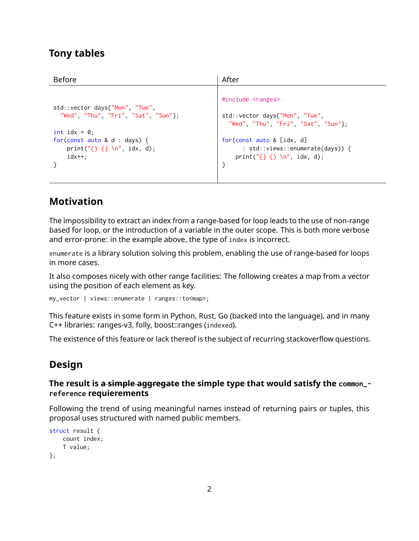# **Tony tables**

| #include <ranges><br/>std::vector days{"Mon", "Tue",<br/>"Wed", "Thu", "Fri", "Sat", "Sun"};</ranges> | std::vector days{"Mon", "Tue",<br>"Wed", "Thu", "Fri", "Sat", "Sun"};                            |
|-------------------------------------------------------------------------------------------------------|--------------------------------------------------------------------------------------------------|
| int idx = $\theta$ ;<br>for(const auto & d : days) {<br>print( $"\{\}$ {} \n", idx, d);<br>$idx++$ :  | for(const auto & [idx, d]<br>: std::views::enumerate(days)) {<br>print( $"\{\}$ {} \n", idx, d); |

# **Motivation**

The impossibility to extract an index from a range-based for loop leads to the use of non-range based for loop, or the introduction of a variable in the outer scope. This is both more verbose and error-prone: in the example above, the type of index is incorrect.

enumerate is a library solution solving this problem, enabling the use of range-based for loops in more cases.

It also composes nicely with other range facilities: The following creates a map from a vector using the position of each element as key.

my\_vector | views::enumerate | ranges::to<map>;

This feature exists in some form in Python, Rust, Go (backed into the language), and in many C++ libraries: ranges-v3, folly, boost::ranges (indexed).

The existence of this feature or lack thereof is the subject of recurring stackoverflow questions.

# **Design**

### **The result is a simple aggregate the simple type that would satisfy the common\_ reference requierements**

Following the trend of using meaningful names instead of returning pairs or tuples, this proposal uses structured with named public members.

```
struct result {
   count index;
    T value;
};
```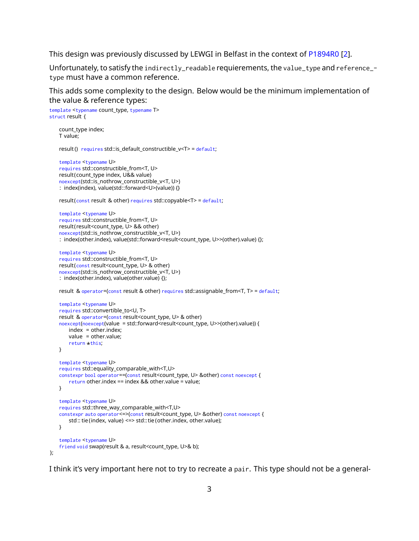This design was previously discussed by LEWGI in Belfast in the context of [P1894R0](https://wg21.link/P1894R0) [\[2\]](#page-11-0).

Unfortunately, to satisfy the indirectly\_readable requierements, the value\_type and reference\_ type must have a common reference.

This adds some complexity to the design. Below would be the minimum implementation of the value & reference types:

```
template <typename count_type, typename T>
struct result {
   count_type index;
   T value;
   result () requires std::is_default_constructible_v<T> = default;
    template <typename U>
   requires std::constructible_from<T, U>
   result(count_type index, U&& value)
   noexcept(std::is_nothrow_constructible_v<T, U>)
   : index(index), value(std::forward<U>(value)) {}
   result (const result & other) requires std::copyable<T> = default;
   template <typename U>
   requires std::constructible_from<T, U>
   result (result<count_type, U> && other)
   noexcept(std::is_nothrow_constructible_v<T, U>)
   : index(other.index), value(std::forward<result<count_type, U>>(other).value) {};
   template <typename U>
   requires std::constructible_from<T, U>
   result (const result<count_type, U> & other)
   noexcept(std::is_nothrow_constructible_v<T, U>)
   : index(other.index), value(other.value) {};
   result & operator=(const result & other) requires std::assignable_from<T, T> = default;
   template <typename U>
   requires std::convertible_to<U, T>
   result & operator=(const result<count_type, U> & other)
   noexcept(noexcept(value = std::forward<result<count_type, U>>(other).value)) {
       index = other.index;
       value = other.value;
        return *this;
   }
   template <typename U>
   requires std::equality_comparable_with<T,U>
   constexpr bool operator==(const result<count type, U> &other) const noexcept {
       return other.index == index && other.value = value;
   }
   template <typename U>
   requires std::three_way_comparable_with<T,U>
   constexpr auto operator<=>(const result<count_type, U> &other) const noexcept {
       std:: tie (index, value) <=> std:: tie (other.index, other.value);
   }
   template <typename U>
    friend void swap(result & a, result<count_type, U>& b);
};
```
I think it's very important here not to try to recreate a pair. This type should not be a general-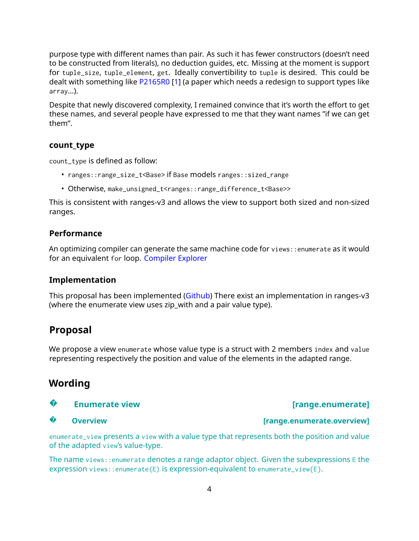purpose type with different names than pair. As such it has fewer constructors (doesn't need to be constructed from literals), no deduction guides, etc. Missing at the moment is support for tuple\_size, tuple\_element, get. Ideally convertibility to tuple is desired. This could be dealt with something like [P2165R0](https://wg21.link/P2165R0) [\[1\]](#page-11-1) (a paper which needs a redesign to support types like array...).

Despite that newly discovered complexity, I remained convince that it's worth the effort to get these names, and several people have expressed to me that they want names "if we can get them".

#### **count\_type**

count\_type is defined as follow:

- ranges::range\_size\_t<Base> if Base models ranges::sized\_range
- Otherwise, make\_unsigned\_t<ranges::range\_difference\_t<Base>>

This is consistent with ranges-v3 and allows the view to support both sized and non-sized ranges.

#### **Performance**

An optimizing compiler can generate the same machine code for views::enumerate as it would for an equivalent for loop. [Compiler Explorer](https://godbolt.org/z/2Kxo8d)

#### **Implementation**

This proposal has been implemented [\(Github\)](https://github.com/cor3ntin/rangesnext/blob/master/include/cor3ntin/rangesnext/enumerate.hpp) There exist an implementation in ranges-v3 (where the enumerate view uses zip with and a pair value type).

# **Proposal**

We propose a view enumerate whose value type is a struct with 2 members index and value representing respectively the position and value of the elements in the adapted range.

# **Wording**

### **?**

#### **?**

enumerate\_view presents a view with a value type that represents both the position and value of the adapted view's value-type.

The name views::enumerate denotes a range adaptor object. Given the subexpressions E the expression views::enumerate(E) is expression-equivalent to enumerate\_view{E}.

# **Enumerate view Enumerate is a set of the set of the set of the set of the set of the set of the set of the set of the set of the set of the set of the set of the set of the set of the set of the set of the set of the set**

#### **Overview [range.enumerate.overview]**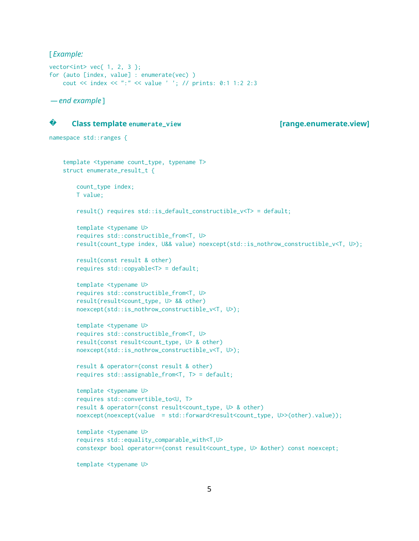[ *Example:*

```
vector<int> vec{ 1, 2, 3 };
for (auto [index, value] : enumerate(vec) )
   cout << index << ":" << value ' '; // prints: 0:1 1:2 2:3
```
*— end example* ]



#### **Class template enumerate\_view [range.enumerate.view]**

```
namespace std::ranges {
```

```
template <typename count_type, typename T>
struct enumerate_result_t {
   count_type index;
   T value;
   result() requires std::is_default_constructible_v<T> = default;
    template <typename U>
    requires std::constructible_from<T, U>
    result(count_type index, U&& value) noexcept(std::is_nothrow_constructible_v<T, U>);
    result(const result & other)
    requires std::copyable<T> = default;
    template <typename U>
    requires std::constructible_from<T, U>
    result(result<count_type, U> && other)
   noexcept(std::is_nothrow_constructible_v<T, U>);
    template <typename U>
    requires std::constructible_from<T, U>
    result(const result<count_type, U> & other)
   noexcept(std::is_nothrow_constructible_v<T, U>);
    result & operator=(const result & other)
    requires std::assignable_from<T, T> = default;
    template <typename U>
    requires std::convertible_to<U, T>
    result & operator=(const result<count_type, U> & other)
   noexcept(noexcept(value = std::forward<result<count_type, U>>(other).value));
    template <typename U>
    requires std::equality_comparable_with<T,U>
    constexpr bool operator==(const result<count_type, U> &other) const noexcept;
```
template <typename U>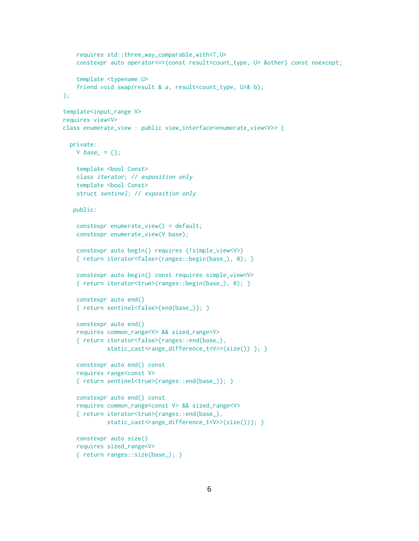```
requires std::three_way_comparable_with<T,U>
    constexpr auto operator<=>(const result<count_type, U> &other) const noexcept;
    template <typename U>
    friend void swap(result & a, result<count_type, U>& b);
\mathcal{E}:
template<input_range V>
requires view<V>
class enumerate_view : public view_interface<enumerate_view<V>> {
 private:
   V base = {};
    template <bool Const>
   class iterator; // exposition only
    template <bool Const>
    struct sentinel; // exposition only
   public:
   constexpr enumerate_view() = default;
   constexpr enumerate_view(V base);
    constexpr auto begin() requires (!simple_view<V>)
    { return iterator<false>(ranges::begin(base_), 0); }
    constexpr auto begin() const requires simple_view<V>
    { return iterator<true>(ranges::begin(base_), 0); }
    constexpr auto end()
    { return sentinel<false>{end(base_)}; }
    constexpr auto end()
    requires common_range<V> && sized_range<V>
    { return iterator<false>{ranges::end(base_),
             static_cast<range_difference_t<V>>(size()) }; }
    constexpr auto end() const
    requires range<const V>
    { return sentinel<true>{ranges::end(base_)}; }
    constexpr auto end() const
    requires common_range<const V> && sized_range<V>
    { return iterator<true>{ranges::end(base_),
             static_cast<range_difference_t<V>>(size())}; }
    constexpr auto size()
    requires sized_range<V>
    { return ranges::size(base_); }
```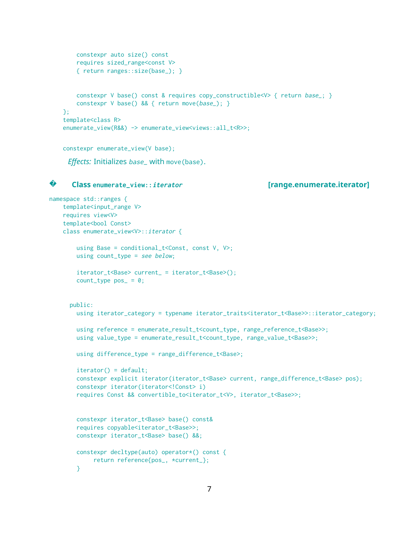```
constexpr auto size() const
   requires sized_range<const V>
   { return ranges::size(base_); }
   constexpr V base() const & requires copy_constructible<V> { return base_; }
   constexpr V base() && { return move(base_); }
};
template<class R>
enumerate_view(R&&) -> enumerate_view<views::all_t<R>>;
```

```
constexpr enumerate_view(V base);
```
*Effects:* Initializes base\_ with move(base).

#### **? Class enumerate\_view::iterator [range.enumerate.iterator]**

```
namespace std::ranges {
   template<input_range V>
    requires view<V>
    template<br/>bool Const>
    class enumerate_view<V>::iterator {
       using Base = conditional_t<Const, const V, V>;
       using count_type = see below;
        iterator_t<Base> current_ = iterator_t<Base>();
        count_type pos_ = 0;public:
       using iterator_category = typename iterator_traits<iterator_t<Base>>::iterator_category;
       using reference = enumerate_result_t<count_type, range_reference_t<Base>>;
       using value_type = enumerate_result_t<count_type, range_value_t<Base>>;
       using difference_type = range_difference_t<Base>;
        iterator() = default;
        constexpr explicit iterator(iterator_t<Base> current, range_difference_t<Base> pos);
        constexpr iterator(iterator<!Const> i)
        requires Const && convertible_to<iterator_t<V>, iterator_t<Base>>;
        constexpr iterator_t<Base> base() const&
        requires copyable<iterator_t<Base>>;
        constexpr iterator_t<Base> base() &&;
        constexpr decltype(auto) operator*() const {
            return reference{pos_, *current_};
        }
```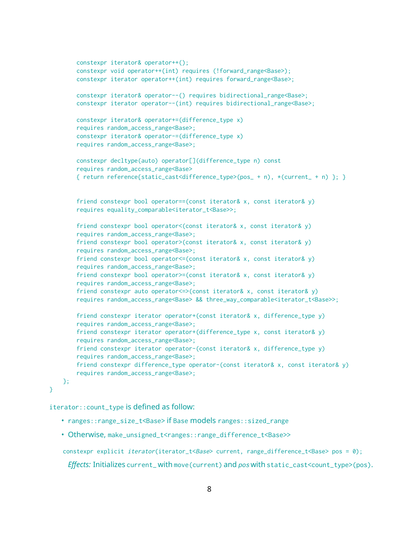```
constexpr iterator& operator++();
    constexpr void operator++(int) requires (!forward_range<Base>);
    constexpr iterator operator++(int) requires forward_range<Base>;
    constexpr iterator& operator--() requires bidirectional_range<Base>;
    constexpr iterator operator--(int) requires bidirectional_range<Base>;
    constexpr iterator& operator+=(difference_type x)
    requires random_access_range<Base>;
    constexpr iterator& operator-=(difference_type x)
    requires random_access_range<Base>;
    constexpr decltype(auto) operator[](difference_type n) const
    requires random_access_range<Base>
    { return reference{static_cast<difference_type>(pos_ + n), *(current_ + n) }; }
    friend constexpr bool operator==(const iterator& x, const iterator& y)
    requires equality_comparable<iterator_t<Base>>;
    friend constexpr bool operator<(const iterator& x, const iterator& y)
    requires random_access_range<Base>;
    friend constexpr bool operator>(const iterator& x, const iterator& y)
    requires random_access_range<Base>;
    friend constexpr bool operator<=(const iterator& x, const iterator& y)
    requires random_access_range<Base>;
    friend constexpr bool operator>=(const iterator& x, const iterator& y)
    requires random_access_range<Base>;
    friend constexpr auto operator \leq (const iterator & x, const iterator & y)
    requires random_access_range<Base> && three_way_comparable<iterator_t<Base>>;
    friend constexpr iterator operator+(const iterator& x, difference_type y)
    requires random_access_range<Base>;
    friend constexpr iterator operator+(difference_type x, const iterator& y)
    requires random_access_range<Base>;
    friend constexpr iterator operator-(const iterator& x, difference_type y)
    requires random_access_range<Base>;
    friend constexpr difference_type operator-(const iterator& x, const iterator& y)
    requires random_access_range<Base>;
};
```
}

iterator::count\_type is defined as follow:

- ranges::range\_size\_t<Base> if Base models ranges::sized\_range
- Otherwise, make\_unsigned\_t<ranges::range\_difference\_t<Base>>

constexpr explicit *iterator*(iterator\_t<Base> current, range\_difference\_t<Base> pos = 0);

*Effects:* Initializes current\_ with move(current) and pos with static\_cast<count\_type>(pos).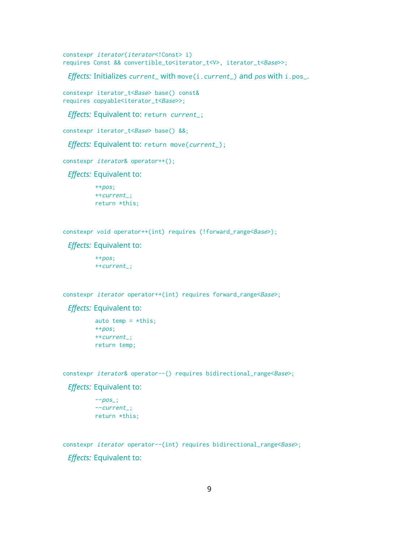constexpr iterator(iterator<!Const> i) requires Const && convertible\_to<iterator\_t<V>, iterator\_t<Base>>;

*Effects: Initializes current\_with move(i.current\_) and pos with i.pos\_.* 

constexpr iterator\_t<Base> base() const& requires copyable<iterator\_t<Base>>;

*Effects:* Equivalent to: return current\_;

constexpr iterator\_t<Base> base() &&;

*Effects:* Equivalent to: return move(current\_);

constexpr iterator& operator++();

*Effects:* Equivalent to:

 $+$ + $pos$ ; ++current\_; return \*this;

constexpr void operator++(int) requires (!forward\_range<Base>);

*Effects:* Equivalent to:

++pos; ++current\_;

constexpr *iterator* operator++(int) requires forward\_range<Base>;

#### *Effects:* Equivalent to:

```
auto temp = *this;
++pos;
++current_;
return temp;
```
constexpr iterator& operator--() requires bidirectional\_range<Base>;

*Effects:* Equivalent to:

```
-pos:
--current_;
return *this;
```
constexpr *iterator* operator--(int) requires bidirectional\_range<Base>;

*Effects:* Equivalent to: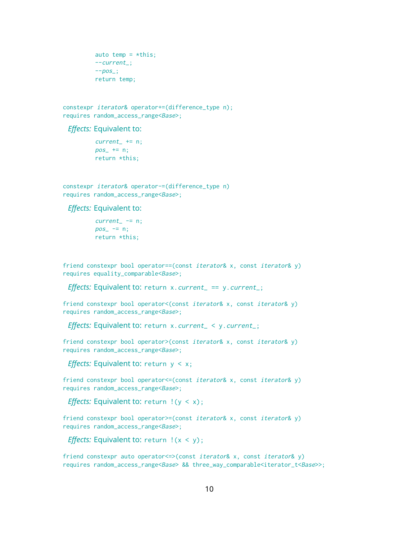```
auto temp = *this;
--current_;
-pos;
return temp;
```
constexpr iterator& operator+=(difference\_type n); requires random\_access\_range<Base>;

*Effects:* Equivalent to:

 $current_ + = n;$  $pos_+ == n;$ return \*this;

constexpr iterator& operator-=(difference\_type n) requires random\_access\_range<Base>;

*Effects:* Equivalent to:

 $current_ - = n;$  $pos_$  -= n; return \*this;

friend constexpr bool operator==(const iterator& x, const iterator& y) requires equality\_comparable<Base>;

*Effects:* Equivalent to: return x.current\_ == y.current\_;

friend constexpr bool operator<(const iterator& x, const iterator& y) requires random\_access\_range<Base>;

*Effects:* Equivalent to: return x.current\_ < y.current\_;

friend constexpr bool operator>(const iterator& x, const iterator& y) requires random\_access\_range<Base>;

*Effects:* Equivalent to: return  $y < x$ ;

friend constexpr bool operator<=(const iterator& x, const iterator& y) requires random\_access\_range<Base>;

*Effects:* Equivalent to: return !(y < x);

friend constexpr bool operator>=(const iterator& x, const iterator& y) requires random\_access\_range<Base>;

*Effects:* Equivalent to: return !(x < y);

friend constexpr auto operator<=>(const iterator& x, const iterator& y) requires random\_access\_range<Base> && three\_way\_comparable<iterator\_t<Base>>;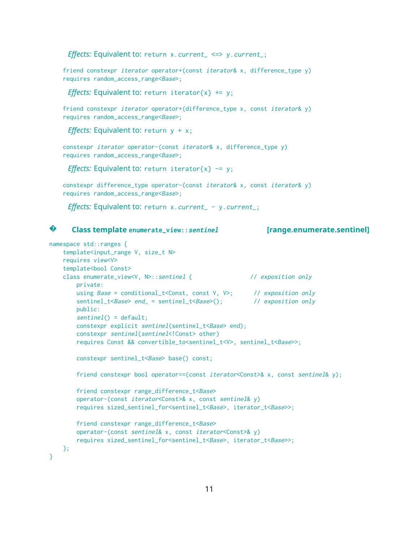*Effects:* Equivalent to: return x.current\_ <=> y.current\_;

friend constexpr *iterator* operator+(const *iterator*& x, difference\_type y) requires random\_access\_range<Base>;

*Effects:* Equivalent to: return iterator $\{x\}$  += y;

friend constexpr *iterator* operator+(difference\_type x, const *iterator*& y) requires random\_access\_range<Base>;

*Effects:* Equivalent to: return  $y + x$ ;

constexpr iterator operator-(const iterator& x, difference\_type y) requires random\_access\_range<Base>;

*Effects:* Equivalent to: return iterator $\{x\}$  -= y;

constexpr difference\_type operator-(const iterator& x, const iterator& y) requires random\_access\_range<Base>;

*Effects:* Equivalent to: return x.current\_ - y.current\_;

#### **? Class template enumerate\_view::sentinel [range.enumerate.sentinel]**

```
namespace std::ranges {
    template<input_range V, size_t N>
    requires view<V>
    template<br/>bool Const>
    class enumerate_view<V, N>::sentinel { // exposition only
       private:
       using Base = conditional_t<Const, const V, V>; // exposition only
       sentinel_t<Base> end_ = sentinel_t<Base>(); // exposition only
       public:
        sentinel() = default;
       constexpr explicit sentinel(sentinel_t<Base> end);
       constexpr sentinel(sentinel<!Const> other)
       requires Const && convertible_to<sentinel_t<V>, sentinel_t<Base>>;
       constexpr sentinel_t<Base> base() const;
        friend constexpr bool operator==(const iterator<Const>& x, const sentinel& y);
        friend constexpr range_difference_t<Base>
       operator-(const iterator<Const>& x, const sentinel& y)
        requires sized_sentinel_for<sentinel_t<Base>, iterator_t<Base>>;
       friend constexpr range_difference_t<Base>
       operator-(const sentinel& x, const iterator<Const>& y)
        requires sized_sentinel_for<sentinel_t<Base>, iterator_t<Base>>;
   };
}
```